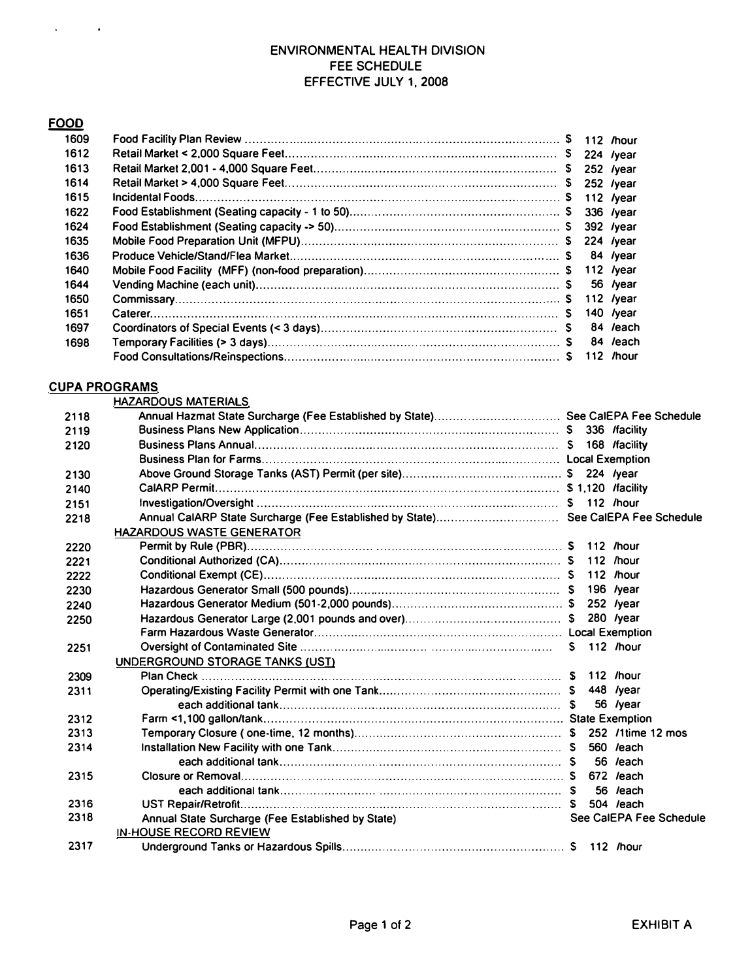## ENVIRONMENTAL HEALTH DIVISION FEE SCHEDULE EFFECTIVE JULY 1, 2008

# $FOOD$

 $\mathcal{L}^{\text{max}}_{\text{max}}$  and  $\mathcal{L}^{\text{max}}_{\text{max}}$ 

| 1609 |  |                |
|------|--|----------------|
| 1612 |  |                |
| 1613 |  |                |
| 1614 |  |                |
| 1615 |  |                |
| 1622 |  |                |
| 1624 |  |                |
| 1635 |  |                |
| 1636 |  |                |
| 1640 |  |                |
| 1644 |  |                |
| 1650 |  | 112 $\sqrt{2}$ |
| 1651 |  | 140 /year      |
| 1697 |  | 84 /each       |
| 1698 |  | 84 /each       |
|      |  | 112 /hour      |

### **CUPA PROGRAMS**

|      | <b>HAZARDOUS MATERIALS</b>                        |                         |            |
|------|---------------------------------------------------|-------------------------|------------|
| 2118 |                                                   |                         |            |
| 2119 |                                                   |                         |            |
| 2120 |                                                   |                         |            |
|      |                                                   |                         |            |
| 2130 |                                                   |                         |            |
| 2140 |                                                   |                         |            |
| 2151 |                                                   |                         |            |
| 2218 |                                                   |                         |            |
|      | <b>HAZARDOUS WASTE GENERATOR</b>                  |                         |            |
| 2220 |                                                   |                         |            |
| 2221 |                                                   |                         |            |
| 2222 |                                                   |                         |            |
| 2230 |                                                   |                         |            |
| 2240 |                                                   |                         | 252 /year  |
| 2250 |                                                   |                         | 280 /year  |
|      |                                                   |                         |            |
| 2251 |                                                   |                         |            |
|      | UNDERGROUND STORAGE TANKS (UST)                   |                         |            |
| 2309 |                                                   |                         |            |
| 2311 |                                                   |                         |            |
|      |                                                   |                         | 56 /year   |
| 2312 |                                                   |                         |            |
| 2313 |                                                   |                         |            |
| 2314 |                                                   |                         | 560 / each |
|      |                                                   |                         | 56 /each   |
| 2315 |                                                   |                         |            |
|      |                                                   |                         | 56 /each   |
| 2316 |                                                   |                         | 504 /each  |
| 2318 | Annual State Surcharge (Fee Established by State) | See CalEPA Fee Schedule |            |
|      | <b>IN-HOUSE RECORD REVIEW</b>                     |                         |            |
| 2317 |                                                   |                         |            |